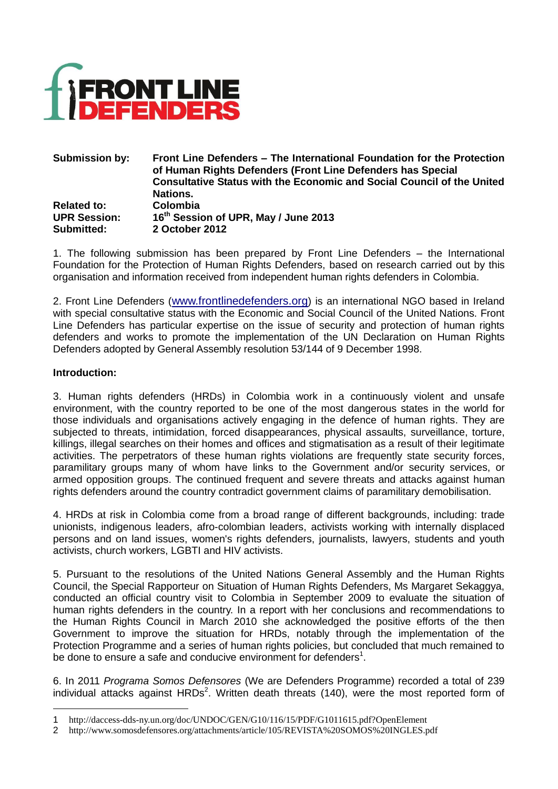

#### **Submission by: Front Line Defenders – The International Foundation for the Protection of Human Rights Defenders (Front Line Defenders has Special Consultative Status with the Economic and Social Council of the United Nations. Related to: Colombia UPR Session: 16 th Session of UPR, May / June 2013 Submitted: 2 October 2012**

1. The following submission has been prepared by Front Line Defenders – the International Foundation for the Protection of Human Rights Defenders, based on research carried out by this organisation and information received from independent human rights defenders in Colombia.

2. Front Line Defenders ([www.frontlinedefenders.org](http://www.frontlinedefenders.org/)) is an international NGO based in Ireland with special consultative status with the Economic and Social Council of the United Nations. Front Line Defenders has particular expertise on the issue of security and protection of human rights defenders and works to promote the implementation of the UN Declaration on Human Rights Defenders adopted by General Assembly resolution 53/144 of 9 December 1998.

## **Introduction:**

1

3. Human rights defenders (HRDs) in Colombia work in a continuously violent and unsafe environment, with the country reported to be one of the most dangerous states in the world for those individuals and organisations actively engaging in the defence of human rights. They are subjected to threats, intimidation, forced disappearances, physical assaults, surveillance, torture, killings, illegal searches on their homes and offices and stigmatisation as a result of their legitimate activities. The perpetrators of these human rights violations are frequently state security forces, paramilitary groups many of whom have links to the Government and/or security services, or armed opposition groups. The continued frequent and severe threats and attacks against human rights defenders around the country contradict government claims of paramilitary demobilisation.

4. HRDs at risk in Colombia come from a broad range of different backgrounds, including: trade unionists, indigenous leaders, afro-colombian leaders, activists working with internally displaced persons and on land issues, women's rights defenders, journalists, lawyers, students and youth activists, church workers, LGBTI and HIV activists.

5. Pursuant to the resolutions of the United Nations General Assembly and the Human Rights Council, the Special Rapporteur on Situation of Human Rights Defenders, Ms Margaret Sekaggya, conducted an official country visit to Colombia in September 2009 to evaluate the situation of human rights defenders in the country. In a report with her conclusions and recommendations to the Human Rights Council in March 2010 she acknowledged the positive efforts of the then Government to improve the situation for HRDs, notably through the implementation of the Protection Programme and a series of human rights policies, but concluded that much remained to be done to ensure a safe and conducive environment for defenders<sup>1</sup>.

6. In 2011 *Programa Somos Defensores* (We are Defenders Programme) recorded a total of 239 individual attacks against  $HRDs<sup>2</sup>$ . Written death threats (140), were the most reported form of

<sup>1</sup> http://daccess-dds-ny.un.org/doc/UNDOC/GEN/G10/116/15/PDF/G1011615.pdf?OpenElement

<sup>2</sup> http://www.somosdefensores.org/attachments/article/105/REVISTA%20SOMOS%20INGLES.pdf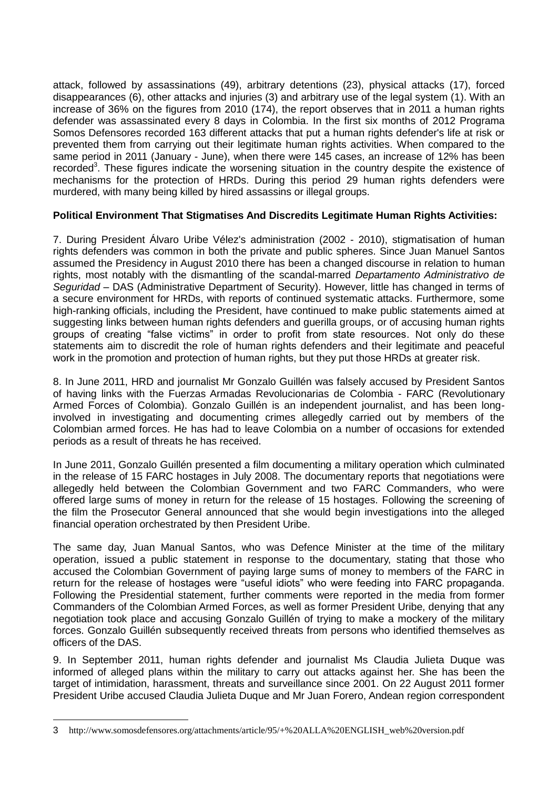attack, followed by assassinations (49), arbitrary detentions (23), physical attacks (17), forced disappearances (6), other attacks and injuries (3) and arbitrary use of the legal system (1). With an increase of 36% on the figures from 2010 (174), the report observes that in 2011 a human rights defender was assassinated every 8 days in Colombia. In the first six months of 2012 Programa Somos Defensores recorded 163 different attacks that put a human rights defender's life at risk or prevented them from carrying out their legitimate human rights activities. When compared to the same period in 2011 (January - June), when there were 145 cases, an increase of 12% has been recorded<sup>3</sup>. These figures indicate the worsening situation in the country despite the existence of mechanisms for the protection of HRDs. During this period 29 human rights defenders were murdered, with many being killed by hired assassins or illegal groups.

# **Political Environment That Stigmatises And Discredits Legitimate Human Rights Activities:**

7. During President Álvaro Uribe Vélez's administration (2002 - 2010), stigmatisation of human rights defenders was common in both the private and public spheres. Since Juan Manuel Santos assumed the Presidency in August 2010 there has been a changed discourse in relation to human rights, most notably with the dismantling of the scandal-marred *Departamento Administrativo de Seguridad* – DAS (Administrative Department of Security). However, little has changed in terms of a secure environment for HRDs, with reports of continued systematic attacks. Furthermore, some high-ranking officials, including the President, have continued to make public statements aimed at suggesting links between human rights defenders and guerilla groups, or of accusing human rights groups of creating "false victims" in order to profit from state resources. Not only do these statements aim to discredit the role of human rights defenders and their legitimate and peaceful work in the promotion and protection of human rights, but they put those HRDs at greater risk.

8. In June 2011, HRD and journalist Mr Gonzalo Guillén was falsely accused by President Santos of having links with the Fuerzas Armadas Revolucionarias de Colombia - FARC (Revolutionary Armed Forces of Colombia). Gonzalo Guillén is an independent journalist, and has been longinvolved in investigating and documenting crimes allegedly carried out by members of the Colombian armed forces. He has had to leave Colombia on a number of occasions for extended periods as a result of threats he has received.

In June 2011, Gonzalo Guillén presented a film documenting a military operation which culminated in the release of 15 FARC hostages in July 2008. The documentary reports that negotiations were allegedly held between the Colombian Government and two FARC Commanders, who were offered large sums of money in return for the release of 15 hostages. Following the screening of the film the Prosecutor General announced that she would begin investigations into the alleged financial operation orchestrated by then President Uribe.

The same day, Juan Manual Santos, who was Defence Minister at the time of the military operation, issued a public statement in response to the documentary, stating that those who accused the Colombian Government of paying large sums of money to members of the FARC in return for the release of hostages were "useful idiots" who were feeding into FARC propaganda. Following the Presidential statement, further comments were reported in the media from former Commanders of the Colombian Armed Forces, as well as former President Uribe, denying that any negotiation took place and accusing Gonzalo Guillén of trying to make a mockery of the military forces. Gonzalo Guillén subsequently received threats from persons who identified themselves as officers of the DAS.

9. In September 2011, human rights defender and journalist Ms Claudia Julieta Duque was informed of alleged plans within the military to carry out attacks against her. She has been the target of intimidation, harassment, threats and surveillance since 2001. On 22 August 2011 former President Uribe accused Claudia Julieta Duque and Mr Juan Forero, Andean region correspondent

1

<sup>3</sup> http://www.somosdefensores.org/attachments/article/95/+%20ALLA%20ENGLISH\_web%20version.pdf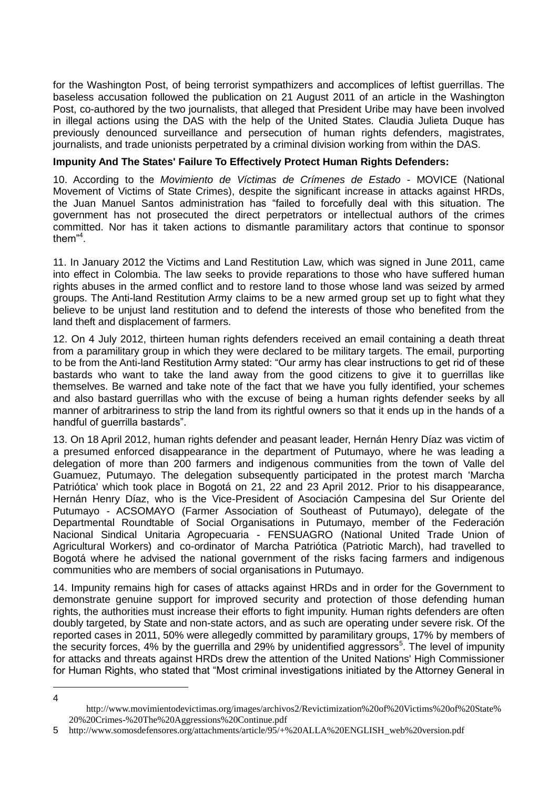for the Washington Post, of being terrorist sympathizers and accomplices of leftist guerrillas. The baseless accusation followed the publication on 21 August 2011 of an article in the Washington Post, co-authored by the two journalists, that alleged that President Uribe may have been involved in illegal actions using the DAS with the help of the United States. Claudia Julieta Duque has previously denounced surveillance and persecution of human rights defenders, magistrates, journalists, and trade unionists perpetrated by a criminal division working from within the DAS.

#### **Impunity And The States' Failure To Effectively Protect Human Rights Defenders:**

10. According to the *Movimiento de Víctimas de Crímenes de Estado* - MOVICE (National Movement of Victims of State Crimes), despite the significant increase in attacks against HRDs, the Juan Manuel Santos administration has "failed to forcefully deal with this situation. The government has not prosecuted the direct perpetrators or intellectual authors of the crimes committed. Nor has it taken actions to dismantle paramilitary actors that continue to sponsor them"<sup>4</sup> .

11. In January 2012 the Victims and Land Restitution Law, which was signed in June 2011, came into effect in Colombia. The law seeks to provide reparations to those who have suffered human rights abuses in the armed conflict and to restore land to those whose land was seized by armed groups. The Anti-land Restitution Army claims to be a new armed group set up to fight what they believe to be unjust land restitution and to defend the interests of those who benefited from the land theft and displacement of farmers.

12. On 4 July 2012, thirteen human rights defenders received an email containing a death threat from a paramilitary group in which they were declared to be military targets. The email, purporting to be from the Anti-land Restitution Army stated: "Our army has clear instructions to get rid of these bastards who want to take the land away from the good citizens to give it to guerrillas like themselves. Be warned and take note of the fact that we have you fully identified, your schemes and also bastard guerrillas who with the excuse of being a human rights defender seeks by all manner of arbitrariness to strip the land from its rightful owners so that it ends up in the hands of a handful of guerrilla bastards".

13. On 18 April 2012, human rights defender and peasant leader, Hernán Henry Díaz was victim of a presumed enforced disappearance in the department of Putumayo, where he was leading a delegation of more than 200 farmers and indigenous communities from the town of Valle del Guamuez, Putumayo. The delegation subsequently participated in the protest march 'Marcha Patriótica' which took place in Bogotá on 21, 22 and 23 April 2012. Prior to his disappearance, Hernán Henry Díaz, who is the Vice-President of Asociación Campesina del Sur Oriente del Putumayo - ACSOMAYO (Farmer Association of Southeast of Putumayo), delegate of the Departmental Roundtable of Social Organisations in Putumayo, member of the Federación Nacional Sindical Unitaria Agropecuaria - FENSUAGRO (National United Trade Union of Agricultural Workers) and co-ordinator of Marcha Patriótica (Patriotic March), had travelled to Bogotá where he advised the national government of the risks facing farmers and indigenous communities who are members of social organisations in Putumayo.

14. Impunity remains high for cases of attacks against HRDs and in order for the Government to demonstrate genuine support for improved security and protection of those defending human rights, the authorities must increase their efforts to fight impunity. Human rights defenders are often doubly targeted, by State and non-state actors, and as such are operating under severe risk. Of the reported cases in 2011, 50% were allegedly committed by paramilitary groups, 17% by members of the security forces, 4% by the guerrilla and 29% by unidentified aggressors<sup>5</sup>. The level of impunity for attacks and threats against HRDs drew the attention of the United Nations' High Commissioner for Human Rights, who stated that "Most criminal investigations initiated by the Attorney General in

<sup>1</sup> 4

http://www.movimientodevictimas.org/images/archivos2/Revictimization%20of%20Victims%20of%20State% 20%20Crimes-%20The%20Aggressions%20Continue.pdf

<sup>5</sup> http://www.somosdefensores.org/attachments/article/95/+%20ALLA%20ENGLISH\_web%20version.pdf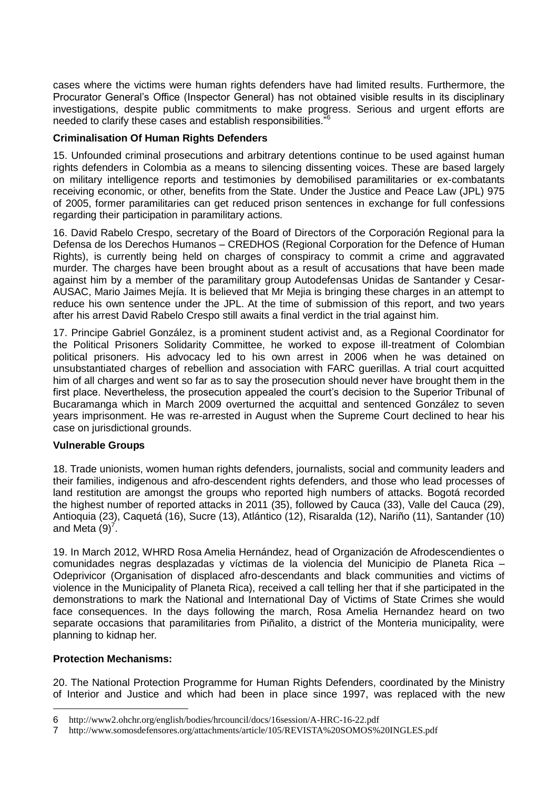cases where the victims were human rights defenders have had limited results. Furthermore, the Procurator General's Office (Inspector General) has not obtained visible results in its disciplinary investigations, despite public commitments to make progress. Serious and urgent efforts are needed to clarify these cases and establish responsibilities."<sup>6</sup>

## **Criminalisation Of Human Rights Defenders**

15. Unfounded criminal prosecutions and arbitrary detentions continue to be used against human rights defenders in Colombia as a means to silencing dissenting voices. These are based largely on military intelligence reports and testimonies by demobilised paramilitaries or ex-combatants receiving economic, or other, benefits from the State. Under the Justice and Peace Law (JPL) 975 of 2005, former paramilitaries can get reduced prison sentences in exchange for full confessions regarding their participation in paramilitary actions.

16. David Rabelo Crespo, secretary of the Board of Directors of the Corporación Regional para la Defensa de los Derechos Humanos – CREDHOS (Regional Corporation for the Defence of Human Rights), is currently being held on charges of conspiracy to commit a crime and aggravated murder. The charges have been brought about as a result of accusations that have been made against him by a member of the paramilitary group Autodefensas Unidas de Santander y Cesar-AUSAC, Mario Jaimes Mejía. It is believed that Mr Mejia is bringing these charges in an attempt to reduce his own sentence under the JPL. At the time of submission of this report, and two years after his arrest David Rabelo Crespo still awaits a final verdict in the trial against him.

17. Principe Gabriel González, is a prominent student activist and, as a Regional Coordinator for the Political Prisoners Solidarity Committee, he worked to expose ill-treatment of Colombian political prisoners. His advocacy led to his own arrest in 2006 when he was detained on unsubstantiated charges of rebellion and association with FARC guerillas. A trial court acquitted him of all charges and went so far as to say the prosecution should never have brought them in the first place. Nevertheless, the prosecution appealed the court's decision to the Superior Tribunal of Bucaramanga which in March 2009 overturned the acquittal and sentenced González to seven years imprisonment. He was re-arrested in August when the Supreme Court declined to hear his case on jurisdictional grounds.

## **Vulnerable Groups**

18. Trade unionists, women human rights defenders, journalists, social and community leaders and their families, indigenous and afro-descendent rights defenders, and those who lead processes of land restitution are amongst the groups who reported high numbers of attacks. Bogotá recorded the highest number of reported attacks in 2011 (35), followed by Cauca (33), Valle del Cauca (29), Antioquia (23), Caquetá (16), Sucre (13), Atlántico (12), Risaralda (12), Nariño (11), Santander (10) and Meta  $(9)^7$ .

19. In March 2012, WHRD Rosa Amelia Hernández, head of Organización de Afrodescendientes o comunidades negras desplazadas y víctimas de la violencia del Municipio de Planeta Rica – Odeprivicor (Organisation of displaced afro-descendants and black communities and victims of violence in the Municipality of Planeta Rica), received a call telling her that if she participated in the demonstrations to mark the National and International Day of Victims of State Crimes she would face consequences. In the days following the march, Rosa Amelia Hernandez heard on two separate occasions that paramilitaries from Piñalito, a district of the Monteria municipality, were planning to kidnap her.

## **Protection Mechanisms:**

1

20. The National Protection Programme for Human Rights Defenders, coordinated by the Ministry of Interior and Justice and which had been in place since 1997, was replaced with the new

<sup>6</sup> http://www2.ohchr.org/english/bodies/hrcouncil/docs/16session/A-HRC-16-22.pdf

<sup>7</sup> http://www.somosdefensores.org/attachments/article/105/REVISTA%20SOMOS%20INGLES.pdf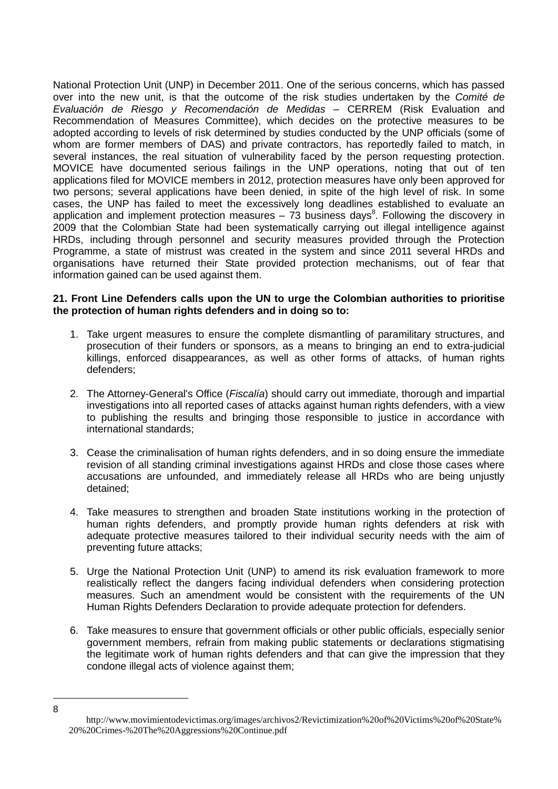National Protection Unit (UNP) in December 2011. One of the serious concerns, which has passed over into the new unit, is that the outcome of the risk studies undertaken by the *Comité de Evaluación de Riesgo y Recomendación de Medidas* – CERREM (Risk Evaluation and Recommendation of Measures Committee), which decides on the protective measures to be adopted according to levels of risk determined by studies conducted by the UNP officials (some of whom are former members of DAS) and private contractors, has reportedly failed to match, in several instances, the real situation of vulnerability faced by the person requesting protection. MOVICE have documented serious failings in the UNP operations, noting that out of ten applications filed for MOVICE members in 2012, protection measures have only been approved for two persons; several applications have been denied, in spite of the high level of risk. In some cases, the UNP has failed to meet the excessively long deadlines established to evaluate an application and implement protection measures  $-73$  business days<sup>8</sup>. Following the discovery in 2009 that the Colombian State had been systematically carrying out illegal intelligence against HRDs, including through personnel and security measures provided through the Protection Programme, a state of mistrust was created in the system and since 2011 several HRDs and organisations have returned their State provided protection mechanisms, out of fear that information gained can be used against them.

## **21. Front Line Defenders calls upon the UN to urge the Colombian authorities to prioritise the protection of human rights defenders and in doing so to:**

- 1. Take urgent measures to ensure the complete dismantling of paramilitary structures, and prosecution of their funders or sponsors, as a means to bringing an end to extra-judicial killings, enforced disappearances, as well as other forms of attacks, of human rights defenders;
- 2. The Attorney-General's Office (*Fiscalía*) should carry out immediate, thorough and impartial investigations into all reported cases of attacks against human rights defenders, with a view to publishing the results and bringing those responsible to justice in accordance with international standards;
- 3. Cease the criminalisation of human rights defenders, and in so doing ensure the immediate revision of all standing criminal investigations against HRDs and close those cases where accusations are unfounded, and immediately release all HRDs who are being unjustly detained;
- 4. Take measures to strengthen and broaden State institutions working in the protection of human rights defenders, and promptly provide human rights defenders at risk with adequate protective measures tailored to their individual security needs with the aim of preventing future attacks;
- 5. Urge the National Protection Unit (UNP) to amend its risk evaluation framework to more realistically reflect the dangers facing individual defenders when considering protection measures. Such an amendment would be consistent with the requirements of the UN Human Rights Defenders Declaration to provide adequate protection for defenders.
- 6. Take measures to ensure that government officials or other public officials, especially senior government members, refrain from making public statements or declarations stigmatising the legitimate work of human rights defenders and that can give the impression that they condone illegal acts of violence against them;

<u>.</u> 8

http://www.movimientodevictimas.org/images/archivos2/Revictimization%20of%20Victims%20of%20State% 20%20Crimes-%20The%20Aggressions%20Continue.pdf